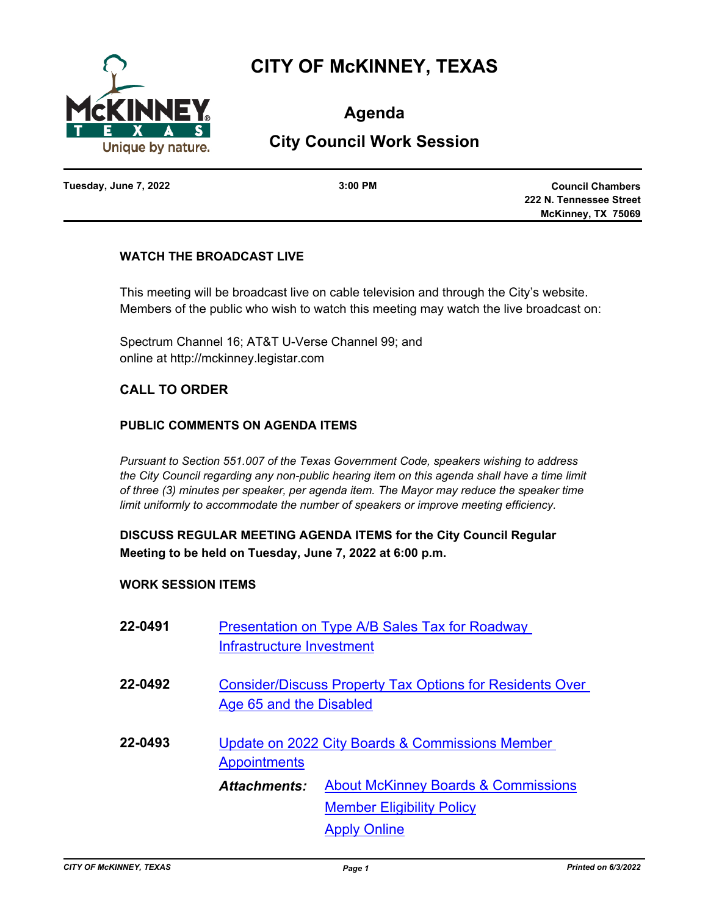

# **CITY OF McKINNEY, TEXAS**

**Agenda**

# **City Council Work Session**

**Tuesday, June 7, 2022 3:00 PM**

**Council Chambers 222 N. Tennessee Street McKinney, TX 75069**

## **WATCH THE BROADCAST LIVE**

This meeting will be broadcast live on cable television and through the City's website. Members of the public who wish to watch this meeting may watch the live broadcast on:

Spectrum Channel 16; AT&T U-Verse Channel 99; and online at http://mckinney.legistar.com

## **CALL TO ORDER**

#### **PUBLIC COMMENTS ON AGENDA ITEMS**

*Pursuant to Section 551.007 of the Texas Government Code, speakers wishing to address the City Council regarding any non-public hearing item on this agenda shall have a time limit of three (3) minutes per speaker, per agenda item. The Mayor may reduce the speaker time limit uniformly to accommodate the number of speakers or improve meeting efficiency.*

# **DISCUSS REGULAR MEETING AGENDA ITEMS for the City Council Regular Meeting to be held on Tuesday, June 7, 2022 at 6:00 p.m.**

#### **WORK SESSION ITEMS**

| 22-0491 | Infrastructure Investment                                                                  | Presentation on Type A/B Sales Tax for Roadway  |  |
|---------|--------------------------------------------------------------------------------------------|-------------------------------------------------|--|
| 22-0492 | <b>Consider/Discuss Property Tax Options for Residents Over</b><br>Age 65 and the Disabled |                                                 |  |
| 22-0493 | <b>Appointments</b>                                                                        | Update on 2022 City Boards & Commissions Member |  |
|         | <b>Attachments:</b>                                                                        | <b>About McKinney Boards &amp; Commissions</b>  |  |
|         |                                                                                            | <b>Member Eligibility Policy</b>                |  |
|         |                                                                                            | <b>Apply Online</b>                             |  |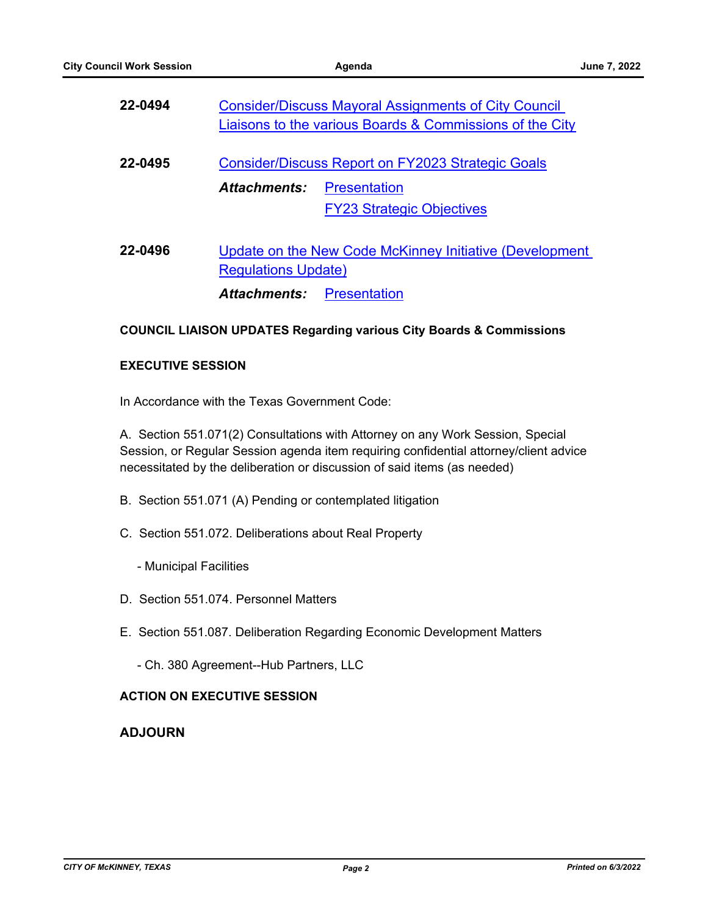| 22-0494 | <b>Consider/Discuss Mayoral Assignments of City Council</b><br>Liaisons to the various Boards & Commissions of the City |                                  |
|---------|-------------------------------------------------------------------------------------------------------------------------|----------------------------------|
| 22-0495 | <b>Consider/Discuss Report on FY2023 Strategic Goals</b>                                                                |                                  |
|         | Attachments:                                                                                                            | <b>Presentation</b>              |
|         |                                                                                                                         | <b>FY23 Strategic Objectives</b> |
| 22-0496 | Update on the New Code McKinney Initiative (Development<br><b>Regulations Update)</b>                                   |                                  |
|         | <b>Attachments: Presentation</b>                                                                                        |                                  |

#### **COUNCIL LIAISON UPDATES Regarding various City Boards & Commissions**

#### **EXECUTIVE SESSION**

In Accordance with the Texas Government Code:

A. Section 551.071(2) Consultations with Attorney on any Work Session, Special Session, or Regular Session agenda item requiring confidential attorney/client advice necessitated by the deliberation or discussion of said items (as needed)

- B. Section 551.071 (A) Pending or contemplated litigation
- C. Section 551.072. Deliberations about Real Property
	- Municipal Facilities
- D. Section 551.074. Personnel Matters
- E. Section 551.087. Deliberation Regarding Economic Development Matters
	- Ch. 380 Agreement--Hub Partners, LLC

#### **ACTION ON EXECUTIVE SESSION**

#### **ADJOURN**